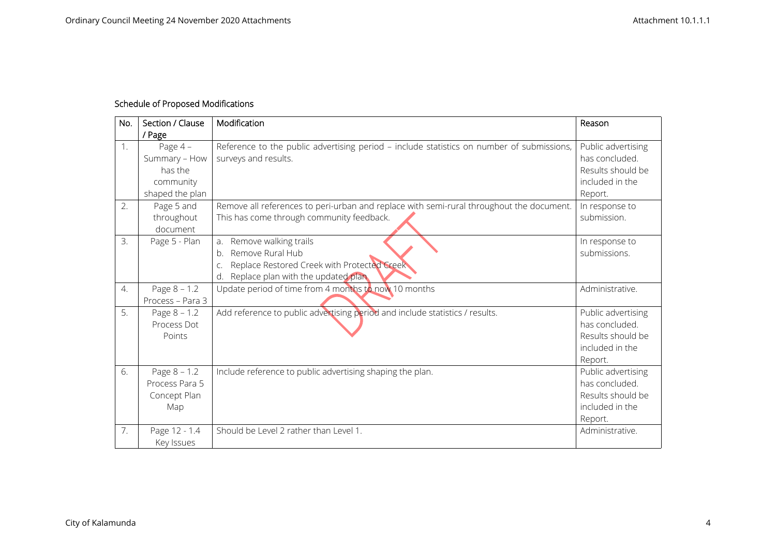## **Schedule of Proposed Modifications**

| No.              | Section / Clause<br>/ Page                                            | Modification                                                                                                                                                          | Reason                                                                                  |
|------------------|-----------------------------------------------------------------------|-----------------------------------------------------------------------------------------------------------------------------------------------------------------------|-----------------------------------------------------------------------------------------|
| 1.               | Page $4-$<br>Summary - How<br>has the<br>community<br>shaped the plan | Reference to the public advertising period - include statistics on number of submissions,<br>surveys and results.                                                     | Public advertising<br>has concluded.<br>Results should be<br>included in the<br>Report. |
| 2.               | Page 5 and<br>throughout<br>document                                  | Remove all references to peri-urban and replace with semi-rural throughout the document.<br>This has come through community feedback.                                 | In response to<br>submission.                                                           |
| 3.               | Page 5 - Plan                                                         | Remove walking trails<br>a <sub>r</sub><br>Remove Rural Hub<br>$b$ .<br>Replace Restored Creek with Protected Creek<br>Ċ.<br>Replace plan with the updated plan<br>d. | In response to<br>submissions.                                                          |
| $\overline{4}$ . | Page $8 - 1.2$<br>Process - Para 3                                    | Update period of time from 4 months to now 10 months                                                                                                                  | Administrative.                                                                         |
| 5.               | Page $8 - 1.2$<br>Process Dot<br>Points                               | Add reference to public advertising period and include statistics / results.                                                                                          | Public advertising<br>has concluded.<br>Results should be<br>included in the<br>Report. |
| 6.               | Page $8 - 1.2$<br>Process Para 5<br>Concept Plan<br>Map               | Include reference to public advertising shaping the plan.                                                                                                             | Public advertising<br>has concluded.<br>Results should be<br>included in the<br>Report. |
| 7.               | Page 12 - 1.4<br>Key Issues                                           | Should be Level 2 rather than Level 1.                                                                                                                                | Administrative.                                                                         |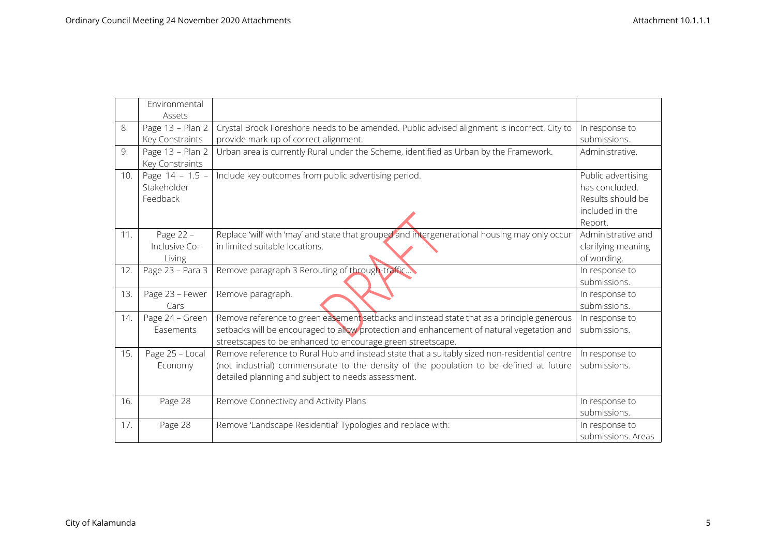|     | Environmental     |                                                                                               |                    |
|-----|-------------------|-----------------------------------------------------------------------------------------------|--------------------|
|     | Assets            |                                                                                               |                    |
| 8.  | Page 13 - Plan 2  | Crystal Brook Foreshore needs to be amended. Public advised alignment is incorrect. City to   | In response to     |
|     | Key Constraints   | provide mark-up of correct alignment.                                                         | submissions.       |
| 9.  | Page 13 - Plan 2  | Urban area is currently Rural under the Scheme, identified as Urban by the Framework.         | Administrative.    |
|     | Key Constraints   |                                                                                               |                    |
| 10. | Page $14 - 1.5 -$ | Include key outcomes from public advertising period.                                          | Public advertising |
|     | Stakeholder       |                                                                                               | has concluded.     |
|     | Feedback          |                                                                                               | Results should be  |
|     |                   |                                                                                               | included in the    |
|     |                   |                                                                                               | Report.            |
| 11. | Page 22 -         | Replace 'will' with 'may' and state that grouped and intergenerational housing may only occur | Administrative and |
|     | Inclusive Co-     | in limited suitable locations.                                                                | clarifying meaning |
|     | Living            |                                                                                               | of wording.        |
| 12. | Page 23 - Para 3  | Remove paragraph 3 Rerouting of through-traffic                                               | In response to     |
|     |                   |                                                                                               | submissions.       |
| 13. | Page 23 - Fewer   | Remove paragraph.                                                                             | In response to     |
|     | Cars              |                                                                                               | submissions.       |
| 14. | Page 24 - Green   | Remove reference to green easement setbacks and instead state that as a principle generous    | In response to     |
|     | Easements         | setbacks will be encouraged to allow protection and enhancement of natural vegetation and     | submissions.       |
|     |                   | streetscapes to be enhanced to encourage green streetscape.                                   |                    |
| 15. | Page 25 - Local   | Remove reference to Rural Hub and instead state that a suitably sized non-residential centre  | In response to     |
|     | Economy           | (not industrial) commensurate to the density of the population to be defined at future        | submissions.       |
|     |                   | detailed planning and subject to needs assessment.                                            |                    |
|     |                   |                                                                                               |                    |
| 16. | Page 28           | Remove Connectivity and Activity Plans                                                        | In response to     |
|     |                   |                                                                                               | submissions.       |
| 17. | Page 28           | Remove 'Landscape Residential' Typologies and replace with:                                   | In response to     |
|     |                   |                                                                                               | submissions. Areas |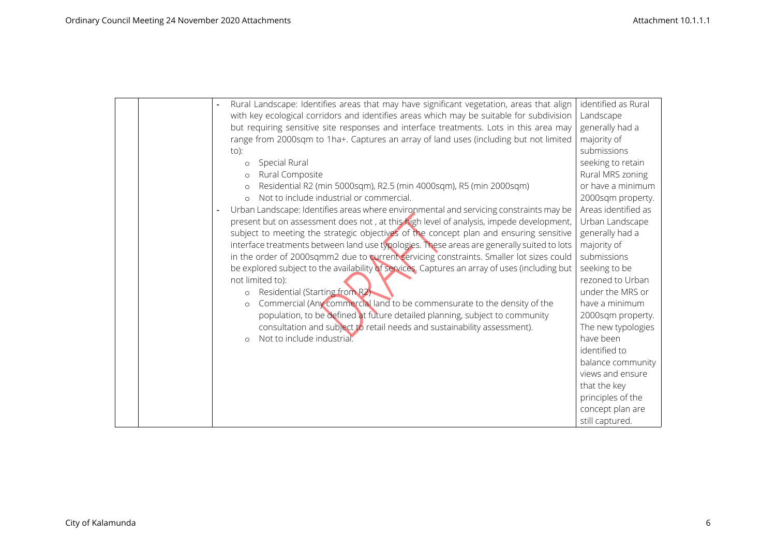|  | Rural Landscape: Identifies areas that may have significant vegetation, areas that align      | identified as Rural |
|--|-----------------------------------------------------------------------------------------------|---------------------|
|  | with key ecological corridors and identifies areas which may be suitable for subdivision      | Landscape           |
|  | but requiring sensitive site responses and interface treatments. Lots in this area may        | generally had a     |
|  | range from 2000sqm to 1ha+. Captures an array of land uses (including but not limited         | majority of         |
|  | to):                                                                                          | submissions         |
|  | Special Rural<br>$\circ$                                                                      | seeking to retain   |
|  | Rural Composite<br>$\circ$                                                                    | Rural MRS zoning    |
|  | Residential R2 (min 5000sqm), R2.5 (min 4000sqm), R5 (min 2000sqm)<br>$\circ$                 | or have a minimum   |
|  | Not to include industrial or commercial.                                                      | 2000sqm property.   |
|  | Urban Landscape: Identifies areas where environmental and servicing constraints may be        | Areas identified as |
|  | present but on assessment does not, at this high level of analysis, impede development,       | Urban Landscape     |
|  | subject to meeting the strategic objectives of the concept plan and ensuring sensitive        | generally had a     |
|  | interface treatments between land use typologies. These areas are generally suited to lots    | majority of         |
|  | in the order of 2000sqmm2 due to current servicing constraints. Smaller lot sizes could       | submissions         |
|  | be explored subject to the availability of services. Captures an array of uses (including but | seeking to be       |
|  | not limited to):                                                                              | rezoned to Urban    |
|  | Residential (Starting from R2)<br>$\circ$                                                     | under the MRS or    |
|  | Commercial (Any commercial land to be commensurate to the density of the<br>$\circ$           | have a minimum      |
|  | population, to be defined at future detailed planning, subject to community                   | 2000sqm property.   |
|  | consultation and subject to retail needs and sustainability assessment).                      | The new typologies  |
|  | Not to include industrial.<br>$\circ$                                                         | have been           |
|  |                                                                                               | identified to       |
|  |                                                                                               | balance community   |
|  |                                                                                               | views and ensure    |
|  |                                                                                               | that the key        |
|  |                                                                                               | principles of the   |
|  |                                                                                               | concept plan are    |
|  |                                                                                               | still captured.     |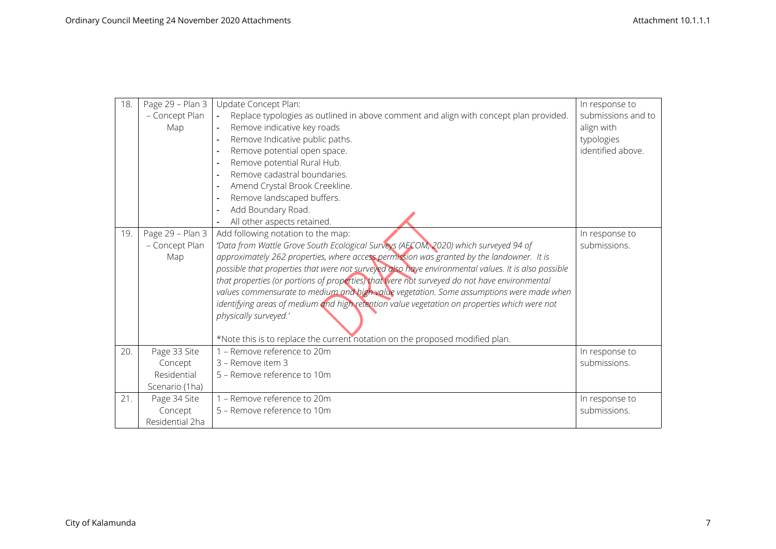| 18. | Page 29 - Plan 3 | Update Concept Plan:                                                                                    | In response to     |
|-----|------------------|---------------------------------------------------------------------------------------------------------|--------------------|
|     | - Concept Plan   | Replace typologies as outlined in above comment and align with concept plan provided.<br>$\blacksquare$ | submissions and to |
|     | Map              | Remove indicative key roads<br>$\blacksquare$                                                           | align with         |
|     |                  | Remove Indicative public paths.<br>$\overline{\phantom{a}}$                                             | typologies         |
|     |                  | Remove potential open space.<br>$\overline{\phantom{a}}$                                                | identified above.  |
|     |                  | Remove potential Rural Hub.<br>$\overline{\phantom{a}}$                                                 |                    |
|     |                  | Remove cadastral boundaries.                                                                            |                    |
|     |                  | Amend Crystal Brook Creekline.<br>$\overline{\phantom{a}}$                                              |                    |
|     |                  | Remove landscaped buffers.<br>$\overline{\phantom{a}}$                                                  |                    |
|     |                  | Add Boundary Road.                                                                                      |                    |
|     |                  | All other aspects retained.                                                                             |                    |
| 19. | Page 29 - Plan 3 | Add following notation to the map:                                                                      | In response to     |
|     | - Concept Plan   | 'Data from Wattle Grove South Ecological Surveys (AECOM, 2020) which surveyed 94 of                     | submissions.       |
|     | Map              | approximately 262 properties, where access permission was granted by the landowner. It is               |                    |
|     |                  | possible that properties that were not surveyed also have environmental values. It is also possible     |                    |
|     |                  | that properties (or portions of properties) that were not surveyed do not have environmental            |                    |
|     |                  | values commensurate to medium and high value vegetation. Some assumptions were made when                |                    |
|     |                  | identifying areas of medium and high retention value vegetation on properties which were not            |                    |
|     |                  | physically surveyed.'                                                                                   |                    |
|     |                  | *Note this is to replace the current notation on the proposed modified plan.                            |                    |
| 20. | Page 33 Site     | 1 - Remove reference to 20m                                                                             | In response to     |
|     | Concept          | 3 - Remove item 3                                                                                       | submissions.       |
|     | Residential      | 5 - Remove reference to 10m                                                                             |                    |
|     | Scenario (1ha)   |                                                                                                         |                    |
| 21. | Page 34 Site     | 1 - Remove reference to 20m                                                                             | In response to     |
|     | Concept          | 5 – Remove reference to 10m                                                                             | submissions.       |
|     | Residential 2ha  |                                                                                                         |                    |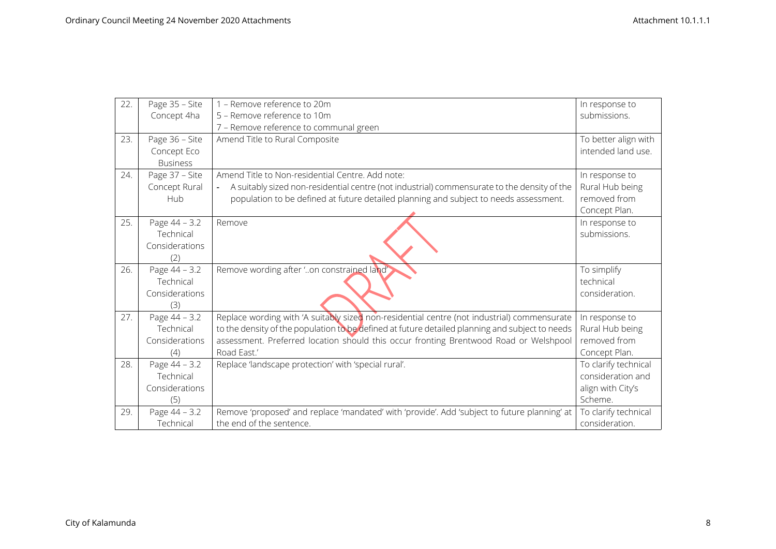| 22. | Page 35 - Site  | 1 - Remove reference to 20m                                                                     | In response to       |
|-----|-----------------|-------------------------------------------------------------------------------------------------|----------------------|
|     | Concept 4ha     | 5 - Remove reference to 10m                                                                     | submissions.         |
|     |                 | 7 - Remove reference to communal green                                                          |                      |
| 23. | Page 36 - Site  | Amend Title to Rural Composite                                                                  | To better align with |
|     | Concept Eco     |                                                                                                 | intended land use.   |
|     | <b>Business</b> |                                                                                                 |                      |
| 24. | Page 37 - Site  | Amend Title to Non-residential Centre. Add note:                                                | In response to       |
|     | Concept Rural   | A suitably sized non-residential centre (not industrial) commensurate to the density of the     | Rural Hub being      |
|     | Hub             | population to be defined at future detailed planning and subject to needs assessment.           | removed from         |
|     |                 |                                                                                                 | Concept Plan.        |
| 25. | Page 44 - 3.2   | Remove                                                                                          | In response to       |
|     | Technical       |                                                                                                 | submissions.         |
|     | Considerations  |                                                                                                 |                      |
|     | (2)             |                                                                                                 |                      |
| 26. | Page 44 - 3.2   | Remove wording after 'on constrained land'                                                      | To simplify          |
|     | Technical       |                                                                                                 | technical            |
|     | Considerations  |                                                                                                 | consideration.       |
|     | (3)             |                                                                                                 |                      |
| 27. | Page 44 - 3.2   | Replace wording with 'A suitably sized non-residential centre (not industrial) commensurate     | In response to       |
|     | Technical       | to the density of the population to be defined at future detailed planning and subject to needs | Rural Hub being      |
|     | Considerations  | assessment. Preferred location should this occur fronting Brentwood Road or Welshpool           | removed from         |
|     | (4)             | Road East.'                                                                                     | Concept Plan.        |
| 28. | Page 44 - 3.2   | Replace 'landscape protection' with 'special rural'.                                            | To clarify technical |
|     | Technical       |                                                                                                 | consideration and    |
|     | Considerations  |                                                                                                 | align with City's    |
|     | (5)             |                                                                                                 | Scheme.              |
| 29. | Page 44 - 3.2   | Remove 'proposed' and replace 'mandated' with 'provide'. Add 'subject to future planning' at    | To clarify technical |
|     | Technical       | the end of the sentence.                                                                        | consideration.       |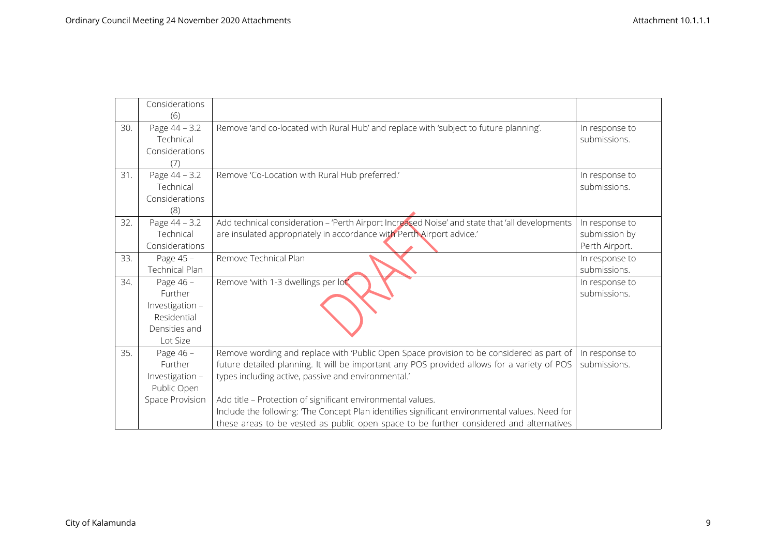|     | Considerations<br>(6)                                                               |                                                                                                                                                                                                                                                                                                                                                                                                                                                                                                           |                                                   |
|-----|-------------------------------------------------------------------------------------|-----------------------------------------------------------------------------------------------------------------------------------------------------------------------------------------------------------------------------------------------------------------------------------------------------------------------------------------------------------------------------------------------------------------------------------------------------------------------------------------------------------|---------------------------------------------------|
| 30. | Page 44 - 3.2<br>Technical<br>Considerations<br>(7)                                 | Remove 'and co-located with Rural Hub' and replace with 'subject to future planning'.                                                                                                                                                                                                                                                                                                                                                                                                                     | In response to<br>submissions.                    |
| 31. | Page 44 - 3.2<br>Technical<br>Considerations<br>(8)                                 | Remove 'Co-Location with Rural Hub preferred.'                                                                                                                                                                                                                                                                                                                                                                                                                                                            | In response to<br>submissions.                    |
| 32. | Page 44 - 3.2<br>Technical<br>Considerations                                        | Add technical consideration - 'Perth Airport Increased Noise' and state that 'all developments<br>are insulated appropriately in accordance with Perth Airport advice.'                                                                                                                                                                                                                                                                                                                                   | In response to<br>submission by<br>Perth Airport. |
| 33. | Page 45 -<br><b>Technical Plan</b>                                                  | Remove Technical Plan                                                                                                                                                                                                                                                                                                                                                                                                                                                                                     | In response to<br>submissions.                    |
| 34. | Page 46 -<br>Further<br>Investigation -<br>Residential<br>Densities and<br>Lot Size | Remove 'with 1-3 dwellings per lot'.                                                                                                                                                                                                                                                                                                                                                                                                                                                                      | In response to<br>submissions.                    |
| 35. | Page 46 -<br><b>Further</b><br>Investigation -<br>Public Open<br>Space Provision    | Remove wording and replace with 'Public Open Space provision to be considered as part of<br>future detailed planning. It will be important any POS provided allows for a variety of POS<br>types including active, passive and environmental.'<br>Add title - Protection of significant environmental values.<br>Include the following: The Concept Plan identifies significant environmental values. Need for<br>these areas to be vested as public open space to be further considered and alternatives | In response to<br>submissions.                    |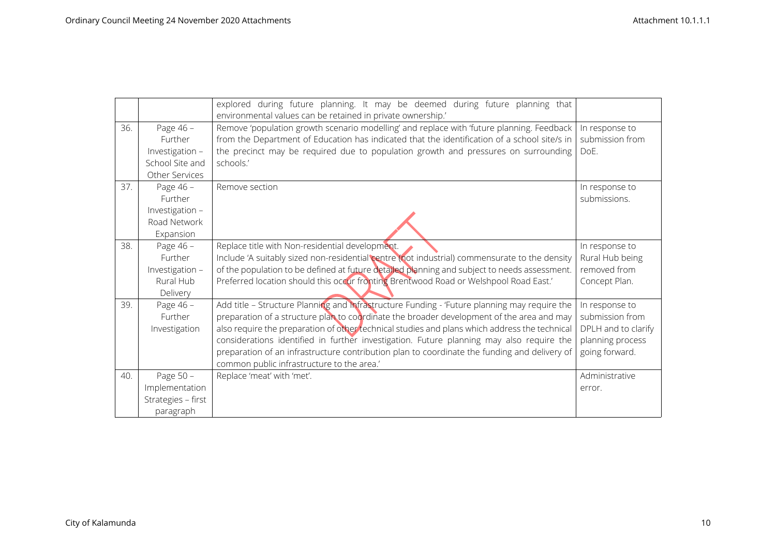|     |                      | explored during future planning. It may be deemed during future planning that<br>environmental values can be retained in private ownership.'                                              |                                   |
|-----|----------------------|-------------------------------------------------------------------------------------------------------------------------------------------------------------------------------------------|-----------------------------------|
| 36. | Page 46 -<br>Further | Remove 'population growth scenario modelling' and replace with 'future planning. Feedback<br>from the Department of Education has indicated that the identification of a school site/s in | In response to<br>submission from |
|     | Investigation -      | the precinct may be required due to population growth and pressures on surrounding                                                                                                        | DoE.                              |
|     | School Site and      | schools.'                                                                                                                                                                                 |                                   |
|     | Other Services       |                                                                                                                                                                                           |                                   |
| 37. | Page 46 -            | Remove section                                                                                                                                                                            | In response to                    |
|     | Further              |                                                                                                                                                                                           | submissions.                      |
|     | Investigation -      |                                                                                                                                                                                           |                                   |
|     | Road Network         |                                                                                                                                                                                           |                                   |
|     | Expansion            |                                                                                                                                                                                           |                                   |
| 38. | Page 46 -            | Replace title with Non-residential development.                                                                                                                                           | In response to                    |
|     | Further              | Include 'A suitably sized non-residential centre (not industrial) commensurate to the density                                                                                             | Rural Hub being                   |
|     | Investigation -      | of the population to be defined at future detailed planning and subject to needs assessment.                                                                                              | removed from                      |
|     | Rural Hub            | Preferred location should this occur fronting Brentwood Road or Welshpool Road East.'                                                                                                     | Concept Plan.                     |
|     | Delivery             |                                                                                                                                                                                           |                                   |
| 39. | Page 46 -            | Add title - Structure Planning and Infrastructure Funding - 'Future planning may require the                                                                                              | In response to                    |
|     | Further              | preparation of a structure plan to coordinate the broader development of the area and may                                                                                                 | submission from                   |
|     | Investigation        | also require the preparation of other technical studies and plans which address the technical                                                                                             | DPLH and to clarify               |
|     |                      | considerations identified in further investigation. Future planning may also require the                                                                                                  | planning process                  |
|     |                      | preparation of an infrastructure contribution plan to coordinate the funding and delivery of                                                                                              | going forward.                    |
|     |                      | common public infrastructure to the area.'                                                                                                                                                |                                   |
| 40. | Page 50 -            | Replace 'meat' with 'met'.                                                                                                                                                                | Administrative                    |
|     | Implementation       |                                                                                                                                                                                           | error.                            |
|     | Strategies - first   |                                                                                                                                                                                           |                                   |
|     | paragraph            |                                                                                                                                                                                           |                                   |